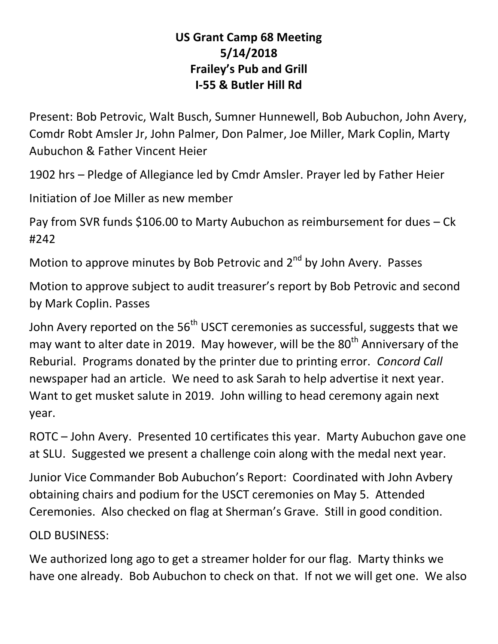# **US Grant Camp 68 Meeting 5/14/2018 Frailey's Pub and Grill I-55 & Butler Hill Rd**

Present: Bob Petrovic, Walt Busch, Sumner Hunnewell, Bob Aubuchon, John Avery, Comdr Robt Amsler Jr, John Palmer, Don Palmer, Joe Miller, Mark Coplin, Marty Aubuchon & Father Vincent Heier

1902 hrs – Pledge of Allegiance led by Cmdr Amsler. Prayer led by Father Heier

Initiation of Joe Miller as new member

Pay from SVR funds \$106.00 to Marty Aubuchon as reimbursement for dues – Ck #242

Motion to approve minutes by Bob Petrovic and  $2^{nd}$  by John Avery. Passes

Motion to approve subject to audit treasurer's report by Bob Petrovic and second by Mark Coplin. Passes

John Avery reported on the 56<sup>th</sup> USCT ceremonies as successful, suggests that we may want to alter date in 2019. May however, will be the  $80<sup>th</sup>$  Anniversary of the Reburial. Programs donated by the printer due to printing error. *Concord Call* newspaper had an article. We need to ask Sarah to help advertise it next year. Want to get musket salute in 2019. John willing to head ceremony again next year.

ROTC – John Avery. Presented 10 certificates this year. Marty Aubuchon gave one at SLU. Suggested we present a challenge coin along with the medal next year.

Junior Vice Commander Bob Aubuchon's Report: Coordinated with John Avbery obtaining chairs and podium for the USCT ceremonies on May 5. Attended Ceremonies. Also checked on flag at Sherman's Grave. Still in good condition.

OLD BUSINESS:

We authorized long ago to get a streamer holder for our flag. Marty thinks we have one already. Bob Aubuchon to check on that. If not we will get one. We also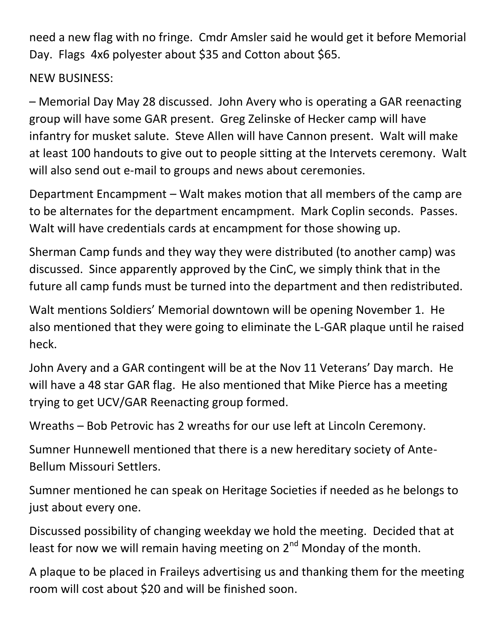need a new flag with no fringe. Cmdr Amsler said he would get it before Memorial Day. Flags 4x6 polyester about \$35 and Cotton about \$65.

# NEW BUSINESS:

– Memorial Day May 28 discussed. John Avery who is operating a GAR reenacting group will have some GAR present. Greg Zelinske of Hecker camp will have infantry for musket salute. Steve Allen will have Cannon present. Walt will make at least 100 handouts to give out to people sitting at the Intervets ceremony. Walt will also send out e-mail to groups and news about ceremonies.

Department Encampment – Walt makes motion that all members of the camp are to be alternates for the department encampment. Mark Coplin seconds. Passes. Walt will have credentials cards at encampment for those showing up.

Sherman Camp funds and they way they were distributed (to another camp) was discussed. Since apparently approved by the CinC, we simply think that in the future all camp funds must be turned into the department and then redistributed.

Walt mentions Soldiers' Memorial downtown will be opening November 1. He also mentioned that they were going to eliminate the L-GAR plaque until he raised heck.

John Avery and a GAR contingent will be at the Nov 11 Veterans' Day march. He will have a 48 star GAR flag. He also mentioned that Mike Pierce has a meeting trying to get UCV/GAR Reenacting group formed.

Wreaths – Bob Petrovic has 2 wreaths for our use left at Lincoln Ceremony.

Sumner Hunnewell mentioned that there is a new hereditary society of Ante-Bellum Missouri Settlers.

Sumner mentioned he can speak on Heritage Societies if needed as he belongs to just about every one.

Discussed possibility of changing weekday we hold the meeting. Decided that at least for now we will remain having meeting on 2<sup>nd</sup> Monday of the month.

A plaque to be placed in Fraileys advertising us and thanking them for the meeting room will cost about \$20 and will be finished soon.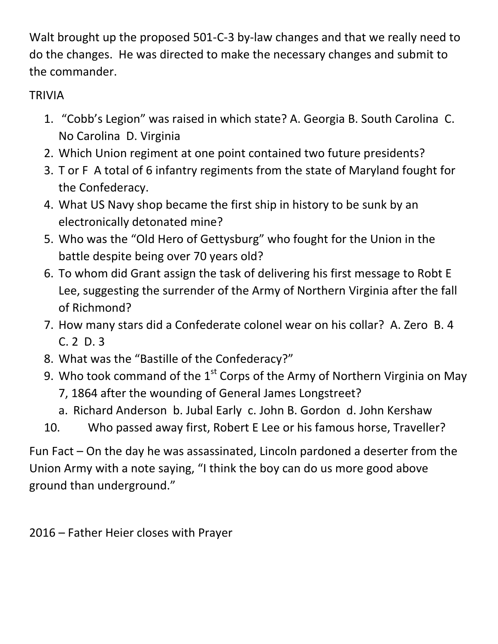Walt brought up the proposed 501-C-3 by-law changes and that we really need to do the changes. He was directed to make the necessary changes and submit to the commander.

# TRIVIA

- 1. "Cobb's Legion" was raised in which state? A. Georgia B. South Carolina C. No Carolina D. Virginia
- 2. Which Union regiment at one point contained two future presidents?
- 3. T or F A total of 6 infantry regiments from the state of Maryland fought for the Confederacy.
- 4. What US Navy shop became the first ship in history to be sunk by an electronically detonated mine?
- 5. Who was the "Old Hero of Gettysburg" who fought for the Union in the battle despite being over 70 years old?
- 6. To whom did Grant assign the task of delivering his first message to Robt E Lee, suggesting the surrender of the Army of Northern Virginia after the fall of Richmond?
- 7. How many stars did a Confederate colonel wear on his collar? A. Zero B. 4 C. 2 D. 3
- 8. What was the "Bastille of the Confederacy?"
- 9. Who took command of the  $1<sup>st</sup>$  Corps of the Army of Northern Virginia on May 7, 1864 after the wounding of General James Longstreet?
	- a. Richard Anderson b. Jubal Early c. John B. Gordon d. John Kershaw
- 10. Who passed away first, Robert E Lee or his famous horse, Traveller?

Fun Fact – On the day he was assassinated, Lincoln pardoned a deserter from the Union Army with a note saying, "I think the boy can do us more good above ground than underground."

2016 – Father Heier closes with Prayer